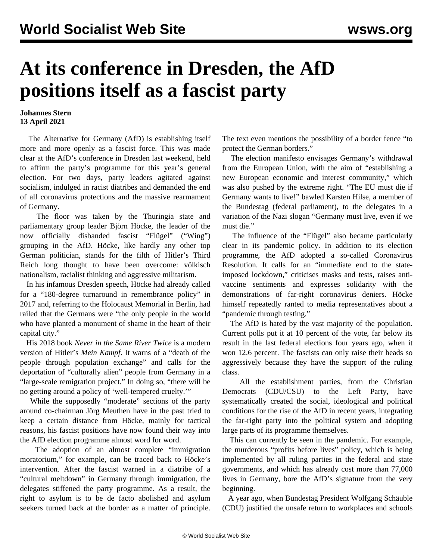## **At its conference in Dresden, the AfD positions itself as a fascist party**

## **Johannes Stern 13 April 2021**

 The Alternative for Germany (AfD) is establishing itself more and more openly as a fascist force. This was made clear at the AfD's conference in Dresden last weekend, held to affirm the party's programme for this year's general election. For two days, party leaders agitated against socialism, indulged in racist diatribes and demanded the end of all coronavirus protections and the massive rearmament of Germany.

 The floor was taken by the Thuringia state and parliamentary group leader Björn Höcke, the leader of the now officially disbanded fascist "Flügel" ("Wing") grouping in the AfD. Höcke, like hardly any other top German politician, stands for the filth of Hitler's Third Reich long thought to have been overcome: völkisch nationalism, racialist thinking and aggressive militarism.

 In his infamous Dresden speech, Höcke had already called for a "180-degree turnaround in remembrance policy" in 2017 and, referring to the Holocaust Memorial in Berlin, had railed that the Germans were "the only people in the world who have planted a monument of shame in the heart of their capital city."

 His 2018 book *Never in the Same River Twice* is a modern version of Hitler's *Mein Kampf*. It warns of a "death of the people through population exchange" and calls for the deportation of "culturally alien" people from Germany in a "large-scale remigration project." In doing so, "there will be no getting around a policy of 'well-tempered cruelty.'"

While the supposedly "moderate" sections of the party around co-chairman Jörg Meuthen have in the past tried to keep a certain distance from Höcke, mainly for tactical reasons, his fascist positions have now found their way into the AfD election programme almost word for word.

 The adoption of an almost complete "immigration moratorium," for example, can be traced back to Höcke's intervention. After the fascist warned in a diatribe of a "cultural meltdown" in Germany through immigration, the delegates stiffened the party programme. As a result, the right to asylum is to be de facto abolished and asylum seekers turned back at the border as a matter of principle. The text even mentions the possibility of a border fence "to protect the German borders."

 The election manifesto envisages Germany's withdrawal from the European Union, with the aim of "establishing a new European economic and interest community," which was also pushed by the extreme right. "The EU must die if Germany wants to live!" bawled Karsten Hilse, a member of the Bundestag (federal parliament), to the delegates in a variation of the Nazi slogan "Germany must live, even if we must die."

 The influence of the "Flügel" also became particularly clear in its pandemic policy. In addition to its election programme, the AfD adopted a so-called Coronavirus Resolution. It calls for an "immediate end to the stateimposed lockdown," criticises masks and tests, raises antivaccine sentiments and expresses solidarity with the demonstrations of far-right coronavirus deniers. Höcke himself repeatedly ranted to media representatives about a "pandemic through testing."

 The AfD is hated by the vast majority of the population. Current polls put it at 10 percent of the vote, far below its result in the last federal elections four years ago, when it won 12.6 percent. The fascists can only raise their heads so aggressively because they have the support of the ruling class.

 All the establishment parties, from the Christian Democrats (CDU/CSU) to the Left Party, have systematically created the social, ideological and political conditions for the rise of the AfD in recent years, integrating the far-right party into the political system and adopting large parts of its programme themselves.

 This can currently be seen in the pandemic. For example, the murderous "profits before lives" policy, which is being implemented by all ruling parties in the federal and state governments, and which has already cost more than 77,000 lives in Germany, bore the AfD's signature from the very beginning.

 A year ago, when Bundestag President Wolfgang Schäuble (CDU) [justified](/en/articles/2020/04/30/scha-a30.html) the unsafe return to workplaces and schools